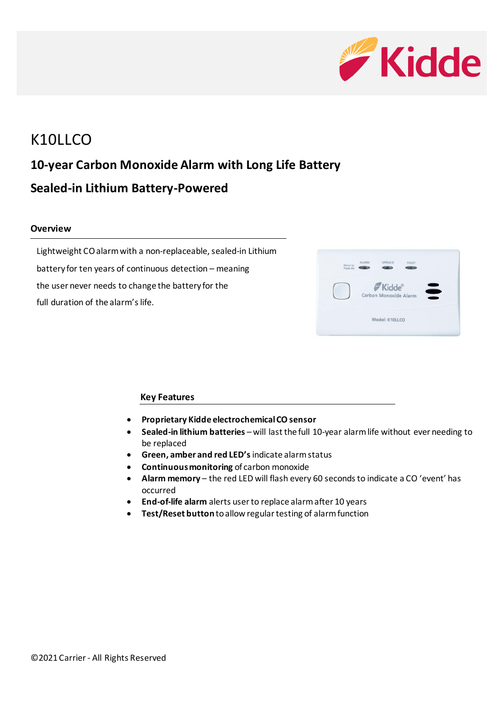

# K10LLCO **10-year Carbon Monoxide Alarm with Long Life Battery Sealed-in Lithium Battery-Powered**

### **Overview**

Lightweight CO alarm with a non-replaceable, sealed-in Lithium battery for ten years of continuous detection – meaning the user never needs to change the battery for the full duration of the alarm's life.



### **Key Features**

- **Proprietary Kidde electrochemical CO sensor**
- **Sealed-in lithium batteries**  will last the full 10-year alarm life without ever needing to be replaced
- **Green, amber and red LED's** indicate alarm status
- **Continuous monitoring** of carbon monoxide
- **Alarm memory**  the red LED will flash every 60 seconds to indicate a CO 'event' has occurred
- **End-of-life alarm** alerts user to replace alarm after 10 years
- **Test/Reset button** to allow regular testing of alarm function